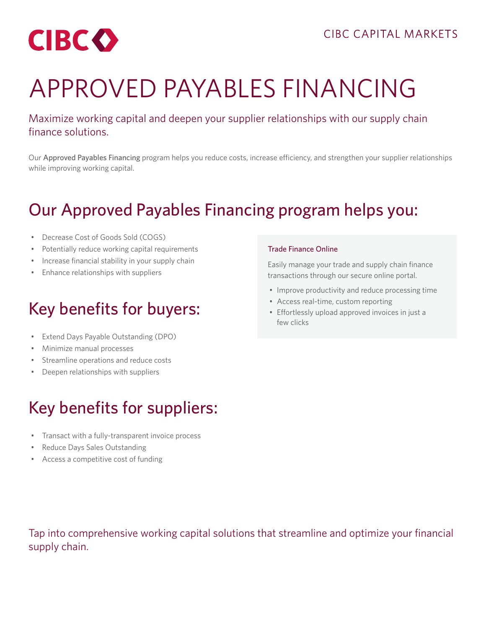

# APPROVED PAYABLES FINANCING

Maximize working capital and deepen your supplier relationships with our supply chain finance solutions.

Our Approved Payables Financing program helps you reduce costs, increase efficiency, and strengthen your supplier relationships while improving working capital.

#### Our Approved Payables Financing program helps you:

- Decrease Cost of Goods Sold (COGS)
- Potentially reduce working capital requirements
- Increase financial stability in your supply chain
- Enhance relationships with suppliers

# Key benefits for buyers:

- Extend Days Payable Outstanding (DPO)
- Minimize manual processes
- Streamline operations and reduce costs
- Deepen relationships with suppliers

# Key benefits for suppliers:

- Transact with a fully-transparent invoice process
- Reduce Days Sales Outstanding
- Access a competitive cost of funding

#### Trade Finance Online

Easily manage your trade and supply chain finance transactions through our secure online portal.

- Improve productivity and reduce processing time
- Access real-time, custom reporting
- Effortlessly upload approved invoices in just a few clicks

Tap into comprehensive working capital solutions that streamline and optimize your financial supply chain.